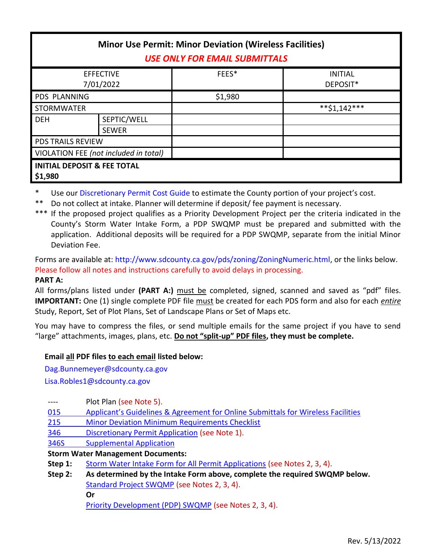| <b>Minor Use Permit: Minor Deviation (Wireless Facilities)</b><br><b>USE ONLY FOR EMAIL SUBMITTALS</b> |                             |         |                            |  |  |  |
|--------------------------------------------------------------------------------------------------------|-----------------------------|---------|----------------------------|--|--|--|
| <b>EFFECTIVE</b><br>7/01/2022                                                                          |                             | FEES*   | <b>INITIAL</b><br>DEPOSIT* |  |  |  |
| <b>PDS PLANNING</b>                                                                                    |                             | \$1,980 |                            |  |  |  |
| <b>STORMWATER</b>                                                                                      |                             |         | $**$ \$1,142***            |  |  |  |
| <b>DEH</b>                                                                                             | SEPTIC/WELL<br><b>SEWER</b> |         |                            |  |  |  |
| <b>PDS TRAILS REVIEW</b>                                                                               |                             |         |                            |  |  |  |
| VIOLATION FEE (not included in total)                                                                  |                             |         |                            |  |  |  |
| <b>INITIAL DEPOSIT &amp; FEE TOTAL</b><br>\$1,980                                                      |                             |         |                            |  |  |  |

Use ou[r Discretionary Permit Cost Guide](http://www.sandiegocounty.gov/content/dam/sdc/pds/docs/Discretionary_Permit_Cost_Guide.xlsx) to estimate the County portion of your project's cost.

\*\* Do not collect at intake. Planner will determine if deposit/ fee payment is necessary.

\*\*\* If the proposed project qualifies as a Priority Development Project per the criteria indicated in the County's Storm Water Intake Form, a PDP SWQMP must be prepared and submitted with the application. Additional deposits will be required for a PDP SWQMP, separate from the initial Minor Deviation Fee.

Forms are available at[: http://www.sdcounty.ca.gov/pds/zoning/ZoningNumeric.html,](http://www.sdcounty.ca.gov/pds/zoning/ZoningNumeric.html) or the links below. Please follow all notes and instructions carefully to avoid delays in processing.

#### **PART A:**

All forms/plans listed under **(PART A:)** must be completed, signed, scanned and saved as "pdf" files. **IMPORTANT:** One (1) single complete PDF file must be created for each PDS form and also for each *entire* Study, Report, Set of Plot Plans, Set of Landscape Plans or Set of Maps etc.

You may have to compress the files, or send multiple emails for the same project if you have to send "large" attachments, images, plans, etc. **Do not "split-up" PDF files, they must be complete.**

## **Email all PDF files to each email listed below:**

[Dag.Bunnemeyer@sdcounty.ca.gov](mailto:Dag.Bunnemeyer@sdcounty.ca.gov)

[Lisa.Robles1@sdcounty.ca.gov](mailto:Lisa.Robles1@sdcounty.ca.gov)

| ---- | Plot Plan (see Note 5). |
|------|-------------------------|
|      |                         |

- 015 [Applicant's Guidelines & Agreement for Online S](http://www.sdcounty.ca.gov/pds/zoning/formfields/PDS-PLN-015.pdf)ubmittals for Wireless Facilities
- 215 [Minor Deviation Minimum Requirements Checklist](http://www.sdcounty.ca.gov/pds/zoning/formfields/PDS-PLN-215.pdf)
- 346 [Discretionary Permit Application](http://www.sdcounty.ca.gov/pds/zoning/formfields/PDS-PLN-346.pdf) (see Note 1).
- [346S Supplemental Application](http://www.sdcounty.ca.gov/pds/zoning/formfields/PDS-PLN-346S.pdf)

**Storm Water Management Documents:**

- **Step 1:** [Storm Water Intake Form for All Permit Applications](http://www.sandiegocounty.gov/content/dam/sdc/pds/zoning/formfields/SWQMP-Intake-Form.pdf) (see Notes 2, 3, 4).
- **Step 2: As determined by the Intake Form above, complete the required SWQMP below.** [Standard Project SWQMP](http://www.sandiegocounty.gov/content/dam/sdc/pds/zoning/formfields/SWQMP-Standard.pdf) (see Notes 2, 3, 4). **Or**

[Priority Development \(PDP\) SWQMP](https://www.sandiegocounty.gov/content/sdc/dpw/watersheds/DevelopmentandConstruction/BMP_Design_Manual.html) (see Notes 2, 3, 4).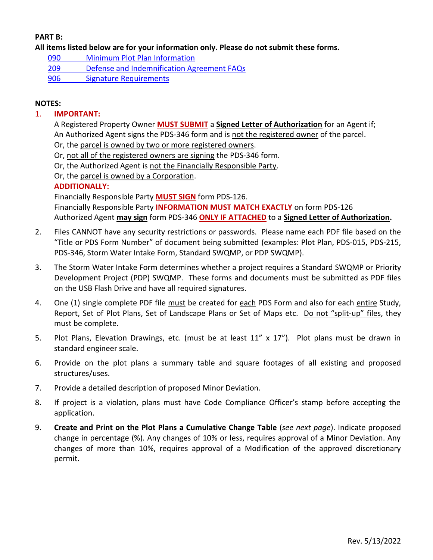## **PART B:**

**All items listed below are for your information only. Please do not submit these forms.**

- 090 [Minimum Plot Plan Information](http://www.sdcounty.ca.gov/pds/docs/pds090.pdf)
- 209 [Defense and Indemnification Agreement FAQs](http://www.sdcounty.ca.gov/pds/zoning/formfields/PDS-PLN-209.pdf)
- [906 Signature Requirements](http://www.sdcounty.ca.gov/pds/zoning/formfields/PDS-PLN-906.pdf)

### **NOTES:**

#### 1. **IMPORTANT:**

A Registered Property Owner **MUST SUBMIT** a **Signed Letter of Authorization** for an Agent if; An Authorized Agent signs the PDS-346 form and is not the registered owner of the parcel.

- Or, the parcel is owned by two or more registered owners.
- Or, not all of the registered owners are signing the PDS-346 form.
- Or, the Authorized Agent is not the Financially Responsible Party.
- Or, the parcel is owned by a Corporation.

#### **ADDITIONALLY:**

Financially Responsible Party **MUST SIGN** form PDS-126.

Financially Responsible Party **INFORMATION MUST MATCH EXACTLY** on form PDS-126 Authorized Agent **may sign** form PDS-346 **ONLY IF ATTACHED** to a **Signed Letter of Authorization.**

- 2. Files CANNOT have any security restrictions or passwords. Please name each PDF file based on the "Title or PDS Form Number" of document being submitted (examples: Plot Plan, PDS-015, PDS-215, PDS-346, Storm Water Intake Form, Standard SWQMP, or PDP SWQMP).
- 3. The Storm Water Intake Form determines whether a project requires a Standard SWQMP or Priority Development Project (PDP) SWQMP. These forms and documents must be submitted as PDF files on the USB Flash Drive and have all required signatures.
- 4. One (1) single complete PDF file must be created for each PDS Form and also for each entire Study, Report, Set of Plot Plans, Set of Landscape Plans or Set of Maps etc. Do not "split-up" files, they must be complete.
- 5. Plot Plans, Elevation Drawings, etc. (must be at least 11" x 17"). Plot plans must be drawn in standard engineer scale.
- 6. Provide on the plot plans a summary table and square footages of all existing and proposed structures/uses.
- 7. Provide a detailed description of proposed Minor Deviation.
- 8. If project is a violation, plans must have Code Compliance Officer's stamp before accepting the application.
- 9. **Create and Print on the Plot Plans a Cumulative Change Table** (*see next page*). Indicate proposed change in percentage (%). Any changes of 10% or less, requires approval of a Minor Deviation. Any changes of more than 10%, requires approval of a Modification of the approved discretionary permit.